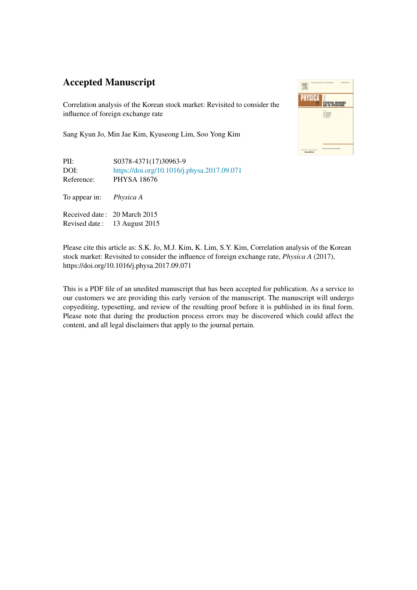## Accepted Manuscript

Correlation analysis of the Korean stock market: Revisited to consider the influence of foreign exchange rate

Sang Kyun Jo, Min Jae Kim, Kyuseong Lim, Soo Yong Kim



PII: S0378-4371(17)30963-9 DOI: <https://doi.org/10.1016/j.physa.2017.09.071> Reference: PHYSA 18676

To appear in: *Physica A*

Received date : 20 March 2015 Revised date : 13 August 2015

Please cite this article as: S.K. Jo, M.J. Kim, K. Lim, S.Y. Kim, Correlation analysis of the Korean stock market: Revisited to consider the influence of foreign exchange rate, *Physica A* (2017), https://doi.org/10.1016/j.physa.2017.09.071

This is a PDF file of an unedited manuscript that has been accepted for publication. As a service to our customers we are providing this early version of the manuscript. The manuscript will undergo copyediting, typesetting, and review of the resulting proof before it is published in its final form. Please note that during the production process errors may be discovered which could affect the content, and all legal disclaimers that apply to the journal pertain.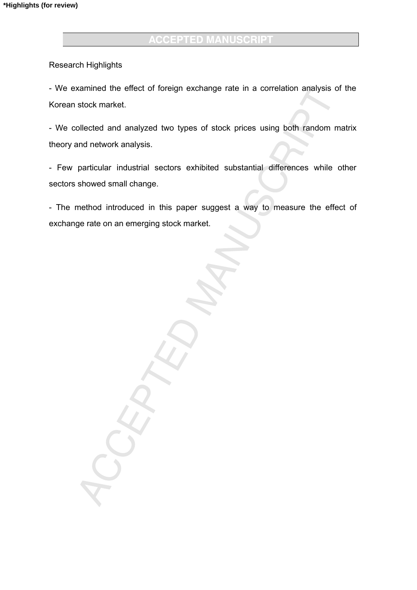## Research Highlights

- We examined the effect of foreign exchange rate in a correlation analysis of the Korean stock market.

- We collected and analyzed two types of stock prices using both random matrix theory and network analysis.

- Few particular industrial sectors exhibited substantial differences while other sectors showed small change.

- The method introduced in this paper suggest a way to measure the effect of exchange rate on an emerging stock market.